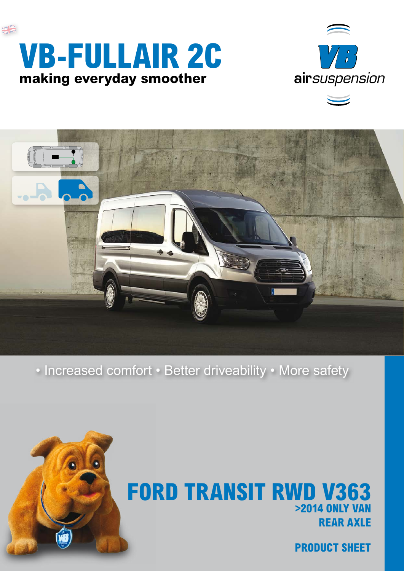





• Increased comfort • Better driveability • More safety



## **REAR AXLE FORD TRANSIT RWD V363 >2014 ONLY VAN**

**PRODUCT SHEET**